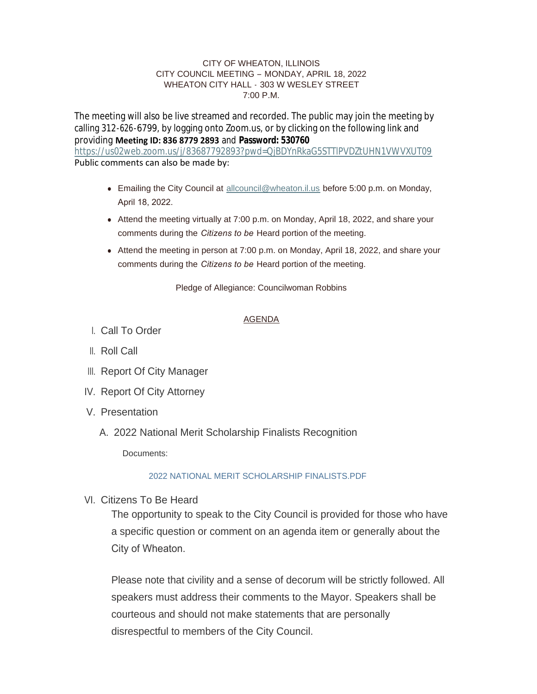### CITY OF WHEATON, ILLINOIS CITY COUNCIL MEETING – MONDAY, APRIL 18, 2022 WHEATON CITY HALL - 303 W WESLEY STREET 7:00 P.M.

The meeting will also be live streamed and recorded. The public may join the meeting by calling 312-626-6799, by logging onto Zoom.us, or by clicking on the following link and providing **Meeting ID: 836 8779 2893** and **Password: 530760** <https://us02web.zoom.us/j/83687792893?pwd=QjBDYnRkaG5STTlPVDZtUHN1VWVXUT09> Public comments can also be made by:

- Emailing the City Council at [allcouncil@wheaton.il.us](mailto:allcouncil@wheaton.il.us) before 5:00 p.m. on Monday, April 18, 2022.
- Attend the meeting virtually at 7:00 p.m. on Monday, April 18, 2022, and share your comments during the *Citizens to be* Heard portion of the meeting.
- Attend the meeting in person at 7:00 p.m. on Monday, April 18, 2022, and share your comments during the *Citizens to be* Heard portion of the meeting.

Pledge of Allegiance: Councilwoman Robbins

# AGENDA

- Call To Order I.
- ll. Roll Call
- III. Report Of City Manager
- IV. Report Of City Attorney
- V. Presentation
	- 2022 National Merit Scholarship Finalists Recognition A.

Documents:

# [2022 NATIONAL MERIT SCHOLARSHIP FINALISTS.PDF](https://www.wheaton.il.us/AgendaCenter/ViewFile/Item/8826?fileID=11227)

VI. Citizens To Be Heard

The opportunity to speak to the City Council is provided for those who have a specific question or comment on an agenda item or generally about the City of Wheaton.

Please note that civility and a sense of decorum will be strictly followed. All speakers must address their comments to the Mayor. Speakers shall be courteous and should not make statements that are personally disrespectful to members of the City Council.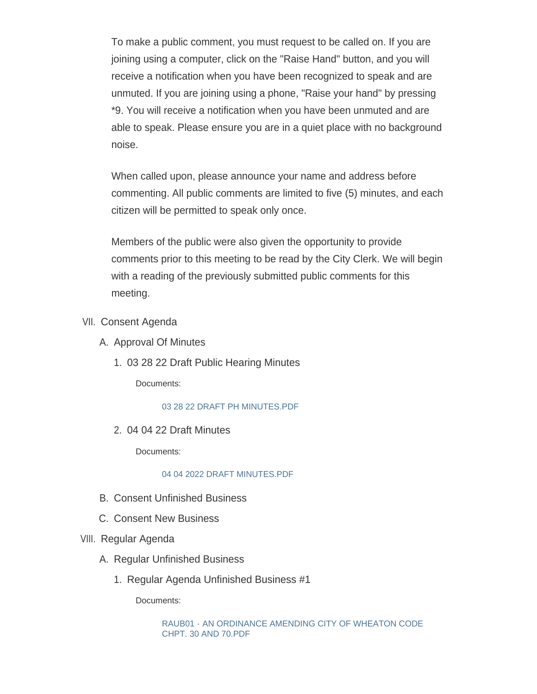To make a public comment, you must request to be called on. If you are joining using a computer, click on the "Raise Hand" button, and you will receive a notification when you have been recognized to speak and are unmuted. If you are joining using a phone, "Raise your hand" by pressing \*9. You will receive a notification when you have been unmuted and are able to speak. Please ensure you are in a quiet place with no background noise.

When called upon, please announce your name and address before commenting. All public comments are limited to five (5) minutes, and each citizen will be permitted to speak only once.

Members of the public were also given the opportunity to provide comments prior to this meeting to be read by the City Clerk. We will begin with a reading of the previously submitted public comments for this meeting.

- VII. Consent Agenda
	- A. Approval Of Minutes
		- 03 28 22 Draft Public Hearing Minutes 1.

Documents:

[03 28 22 DRAFT PH MINUTES.PDF](https://www.wheaton.il.us/AgendaCenter/ViewFile/Item/8830?fileID=11228)

04 04 22 Draft Minutes 2.

Documents:

## [04 04 2022 DRAFT MINUTES.PDF](https://www.wheaton.il.us/AgendaCenter/ViewFile/Item/8831?fileID=11229)

- B. Consent Unfinished Business
- C. Consent New Business
- VIII. Regular Agenda
	- A. Regular Unfinished Business
		- 1. Regular Agenda Unfinished Business #1

Documents:

[RAUB01 - AN ORDINANCE AMENDING CITY OF WHEATON CODE](https://www.wheaton.il.us/AgendaCenter/ViewFile/Item/8836?fileID=11230)  CHPT. 30 AND 70.PDF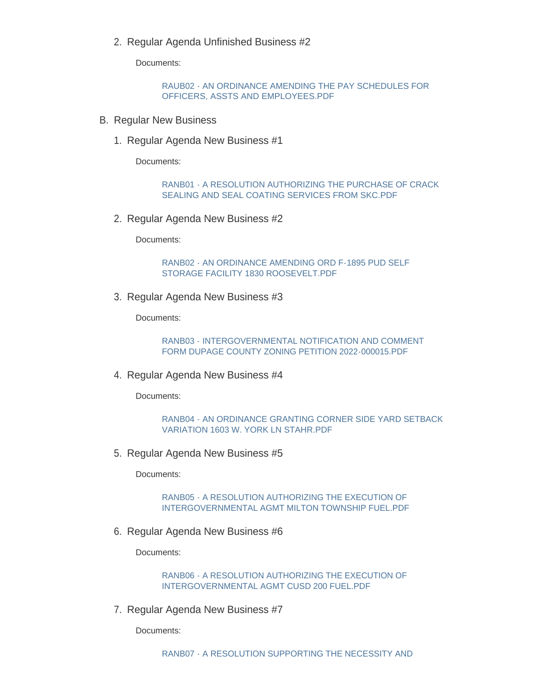2. Regular Agenda Unfinished Business #2

Documents:

[RAUB02 - AN ORDINANCE AMENDING THE PAY SCHEDULES FOR](https://www.wheaton.il.us/AgendaCenter/ViewFile/Item/8837?fileID=11231)  OFFICERS, ASSTS AND EMPLOYEES.PDF

- **B. Regular New Business** 
	- 1. Regular Agenda New Business #1

Documents:

[RANB01 - A RESOLUTION AUTHORIZING THE PURCHASE OF CRACK](https://www.wheaton.il.us/AgendaCenter/ViewFile/Item/8839?fileID=11232)  SEALING AND SEAL COATING SERVICES FROM SKC.PDF

2. Regular Agenda New Business #2

Documents:

[RANB02 - AN ORDINANCE AMENDING ORD F-1895 PUD SELF](https://www.wheaton.il.us/AgendaCenter/ViewFile/Item/8840?fileID=11233)  STORAGE FACILITY 1830 ROOSEVELT.PDF

3. Regular Agenda New Business #3

Documents:

[RANB03 - INTERGOVERNMENTAL NOTIFICATION AND COMMENT](https://www.wheaton.il.us/AgendaCenter/ViewFile/Item/8841?fileID=11234)  FORM DUPAGE COUNTY ZONING PETITION 2022-000015.PDF

4. Regular Agenda New Business #4

Documents:

```
RANB04 - AN ORDINANCE GRANTING CORNER SIDE YARD SETBACK 
VARIATION 1603 W. YORK LN STAHR.PDF
```
5. Regular Agenda New Business #5

Documents:

[RANB05 - A RESOLUTION AUTHORIZING THE EXECUTION OF](https://www.wheaton.il.us/AgendaCenter/ViewFile/Item/8843?fileID=11236)  INTERGOVERNMENTAL AGMT MILTON TOWNSHIP FUEL.PDF

6. Regular Agenda New Business #6

Documents:

[RANB06 - A RESOLUTION AUTHORIZING THE EXECUTION OF](https://www.wheaton.il.us/AgendaCenter/ViewFile/Item/8844?fileID=11237)  INTERGOVERNMENTAL AGMT CUSD 200 FUEL.PDF

7. Regular Agenda New Business #7

Documents: